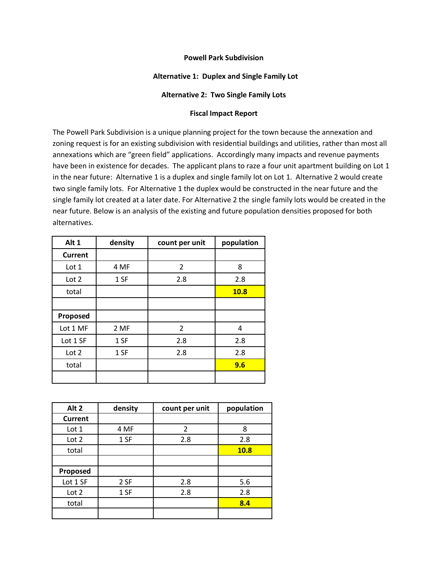## **Alternative 1: Duplex and Single Family Lot**

## **Alternative 2: Two Single Family Lots**

## **Fiscal Impact Report**

The Powell Park Subdivision is a unique planning project for the town because the annexation and zoning request is for an existing subdivision with residential buildings and utilities, rather than most all annexations which are "green field" applications. Accordingly many impacts and revenue payments have been in existence for decades. The applicant plans to raze a four unit apartment building on Lot 1 in the near future: Alternative 1 is a duplex and single family lot on Lot 1. Alternative 2 would create two single family lots. For Alternative 1 the duplex would be constructed in the near future and the single family lot created at a later date. For Alternative 2 the single family lots would be created in the near future. Below is an analysis of the existing and future population densities proposed for both alternatives.

| Alt 1    | density | count per unit | population  |
|----------|---------|----------------|-------------|
| Current  |         |                |             |
| Lot 1    | 4 MF    | $\overline{2}$ | 8           |
| Lot 2    | 1 SF    | 2.8            | 2.8         |
| total    |         |                | <b>10.8</b> |
|          |         |                |             |
| Proposed |         |                |             |
| Lot 1 MF | 2 MF    | 2              | 4           |
| Lot 1 SF | 1 SF    | 2.8            | 2.8         |
| Lot 2    | 1 SF    | 2.8            | 2.8         |
| total    |         |                | 9.6         |
|          |         |                |             |

| Alt 2          | density | count per unit | population  |
|----------------|---------|----------------|-------------|
| <b>Current</b> |         |                |             |
| Lot 1          | 4 MF    | 2              | 8           |
| Lot 2          | 1 SF    | 2.8            | 2.8         |
| total          |         |                | <b>10.8</b> |
|                |         |                |             |
| Proposed       |         |                |             |
| Lot 1 SF       | 2 SF    | 2.8            | 5.6         |
| Lot 2          | 1 SF    | 2.8            | 2.8         |
| total          |         |                | 8.4         |
|                |         |                |             |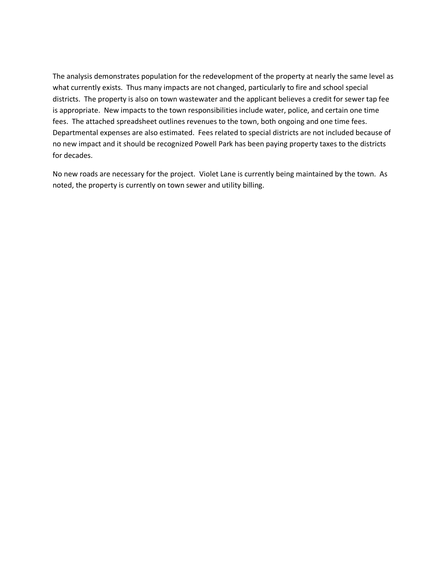The analysis demonstrates population for the redevelopment of the property at nearly the same level as what currently exists. Thus many impacts are not changed, particularly to fire and school special districts. The property is also on town wastewater and the applicant believes a credit for sewer tap fee is appropriate. New impacts to the town responsibilities include water, police, and certain one time fees. The attached spreadsheet outlines revenues to the town, both ongoing and one time fees. Departmental expenses are also estimated. Fees related to special districts are not included because of no new impact and it should be recognized Powell Park has been paying property taxes to the districts for decades.

No new roads are necessary for the project. Violet Lane is currently being maintained by the town. As noted, the property is currently on town sewer and utility billing.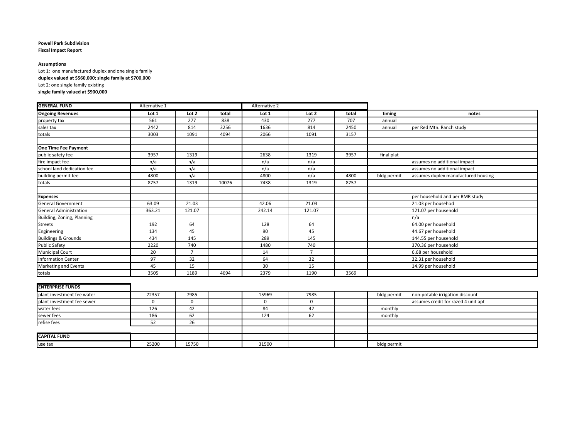**Fiscal Impact Report**

#### **Assumptions**

Lot 1: one manufactured duplex and one single family

**duplex valued at \$560,000; single family at \$700,000**

Lot 2: one single family existing

#### **single family valued at \$900,000**

| <b>GENERAL FUND</b>            | Alternative 1 |                |       | Alternative 2 |                |       |             |                                     |
|--------------------------------|---------------|----------------|-------|---------------|----------------|-------|-------------|-------------------------------------|
| <b>Ongoing Revenues</b>        | Lot 1         | Lot 2          | total | Lot 1         | Lot 2          | total | timing      | notes                               |
| property tax                   | 561           | 277            | 838   | 430           | 277            | 707   | annual      |                                     |
| sales tax                      | 2442          | 814            | 3256  | 1636          | 814            | 2450  | annual      | per Red Mtn. Ranch study            |
| totals                         | 3003          | 1091           | 4094  | 2066          | 1091           | 3157  |             |                                     |
|                                |               |                |       |               |                |       |             |                                     |
| One Time Fee Payment           |               |                |       |               |                |       |             |                                     |
| public safety fee              | 3957          | 1319           |       | 2638          | 1319           | 3957  | final plat  |                                     |
| fire impact fee                | n/a           | n/a            |       | n/a           | n/a            |       |             | assumes no additional impact        |
| school land dedication fee     | n/a           | n/a            |       | n/a           | n/a            |       |             | assumes no additional impact        |
| building permit fee            | 4800          | n/a            |       | 4800          | n/a            | 4800  | bldg permit | assumes duplex manufactured housing |
| totals                         | 8757          | 1319           | 10076 | 7438          | 1319           | 8757  |             |                                     |
|                                |               |                |       |               |                |       |             |                                     |
| <b>Expenses</b>                |               |                |       |               |                |       |             | per household and per RMR study     |
| <b>General Government</b>      | 63.09         | 21.03          |       | 42.06         | 21.03          |       |             | 21.03 per househod                  |
| <b>General Administration</b>  | 363.21        | 121.07         |       | 242.14        | 121.07         |       |             | 121.07 per household                |
| Building, Zoning, Planning     |               |                |       |               |                |       |             | n/a                                 |
| Streets                        | 192           | 64             |       | 128           | 64             |       |             | 64.00 per household                 |
| Engineering                    | 134           | 45             |       | 90            | 45             |       |             | 44.67 per household                 |
| <b>Buildings &amp; Grounds</b> | 434           | 145            |       | 289           | 145            |       |             | 144.55 per household                |
| <b>Public Safety</b>           | 2220          | 740            |       | 1480          | 740            |       |             | 370.36 per household                |
| <b>Municipal Court</b>         | 20            | $\overline{7}$ |       | 14            | $\overline{7}$ |       |             | 6.68 per household                  |
| <b>Information Center</b>      | 97            | 32             |       | 64            | 32             |       |             | 32.31 per household                 |
| Marketing and Events           | 45            | 15             |       | 30            | 15             |       |             | 14.99 per household                 |
| totals                         | 3505          | 1189           | 4694  | 2379          | 1190           | 3569  |             |                                     |

#### **ENTERPRISE FUNDS**

| plant investment fee water | 22357 | 7985  | 15969 | 7985 | bldg permit | non-potable irrigation discount     |
|----------------------------|-------|-------|-------|------|-------------|-------------------------------------|
| plant investment fee sewer |       |       |       |      |             | assumes credit for razed 4 unit apt |
| water fees                 | 126   | 42    | 84    |      | monthly     |                                     |
| sewer fees                 | 186   | 62    | 124   | 62   | monthly     |                                     |
| refise fees                |       | 26    |       |      |             |                                     |
|                            |       |       |       |      |             |                                     |
| <b>CAPITAL FUND</b>        |       |       |       |      |             |                                     |
| use tax                    | 25200 | 15750 | 31500 |      | bldg permit |                                     |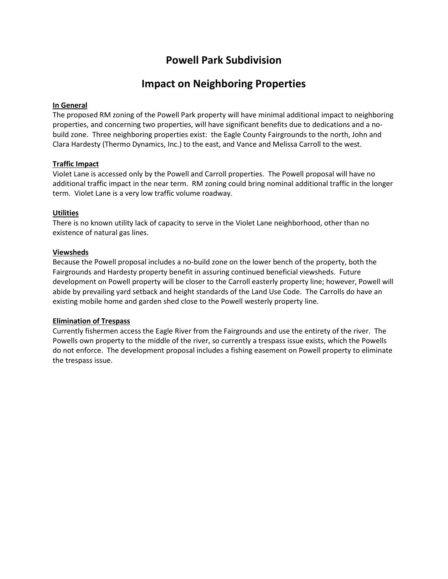# **Impact on Neighboring Properties**

## **In General**

The proposed RM zoning of the Powell Park property will have minimal additional impact to neighboring properties, and concerning two properties, will have significant benefits due to dedications and a nobuild zone. Three neighboring properties exist: the Eagle County Fairgrounds to the north, John and Clara Hardesty (Thermo Dynamics, Inc.) to the east, and Vance and Melissa Carroll to the west.

## **Traffic Impact**

Violet Lane is accessed only by the Powell and Carroll properties. The Powell proposal will have no additional traffic impact in the near term. RM zoning could bring nominal additional traffic in the longer term. Violet Lane is a very low traffic volume roadway.

## **Utilities**

There is no known utility lack of capacity to serve in the Violet Lane neighborhood, other than no existence of natural gas lines.

## **Viewsheds**

Because the Powell proposal includes a no-build zone on the lower bench of the property, both the Fairgrounds and Hardesty property benefit in assuring continued beneficial viewsheds. Future development on Powell property will be closer to the Carroll easterly property line; however, Powell will abide by prevailing yard setback and height standards of the Land Use Code. The Carrolls do have an existing mobile home and garden shed close to the Powell westerly property line.

## **Elimination of Trespass**

Currently fishermen access the Eagle River from the Fairgrounds and use the entirety of the river. The Powells own property to the middle of the river, so currently a trespass issue exists, which the Powells do not enforce. The development proposal includes a fishing easement on Powell property to eliminate the trespass issue.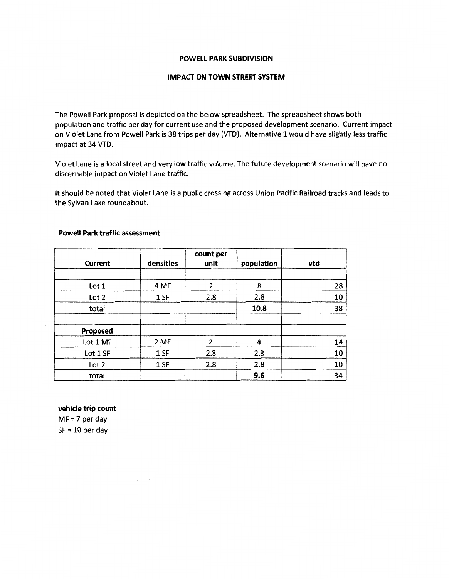### **POWELL PARK SUBDIVISION**

## **IMPACT ON TOWN STREET SYSTEM**

The Powell Park proposal is depicted on the below spreadsheet. The spreadsheet shows both population and traffic per day for current use and the proposed development scenario. Current impact on Violet Lane from Powell Park is 38 trips per day (VTD). Alternative 1 would have slightly less traffic impact at 34 VTD.

Violet Lane is a local street and very low traffic volume. The future development scenario will have no discernable impact on Violet Lane traffic.

It should be noted that Violet Lane is a public crossing across Union Pacific Railroad tracks and leads to the Sylvan Lake roundabout.

| <b>Current</b>   | densities | count per<br>unit | population | vtd |
|------------------|-----------|-------------------|------------|-----|
|                  |           |                   |            |     |
| Lot 1            | 4 MF      | 2                 | 8          | 28  |
| Lot 2            | 1 SF      | 2.8               | 2.8        | 10  |
| total            |           |                   | 10.8       | 38  |
|                  |           |                   |            |     |
| Proposed         |           |                   |            |     |
| Lot 1 MF         | 2 MF      | 2                 | 4          | 14  |
| Lot 1 SF         | 1 SF      | 2.8               | 2.8        | 10  |
| Lot <sub>2</sub> | 1 SF      | 2.8               | 2.8        | 10  |
| total            |           |                   | 9.6        | 34  |

## **Powell Park traffic assessment**

**vehicle trip count** 

 $MF = 7$  per day  $SF = 10$  per day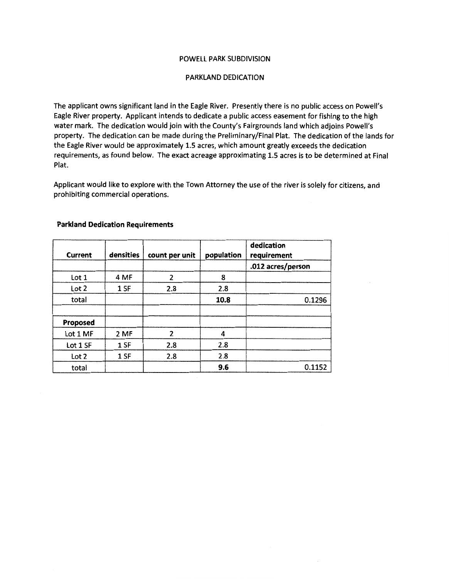#### POWELL PARK SUBDIVISION

### PARKLAND DEDICATION

The applicant owns significant land in the Eagle River. Presently there is no public access on Powell's Eagle River property. Applicant intends to dedicate a public access easement for fishing to the high water mark. The dedication would join with the County's Fairgrounds land which adjoins Powell's property. The dedication can be made during the Preliminary/Final Plat. The dedication of the lands for the Eagle River would be approximately 1.5 acres, which amount greatly exceeds the dedication requirements, as found below. The exact acreage approximating 1.5 acres is to be determined at Final Plat.

Applicant would like to explore with the Town Attorney the use of the river is solely for citizens, and prohibiting commercial operations.

| Current  | densities | count per unit | population | dedication<br>requirement |
|----------|-----------|----------------|------------|---------------------------|
|          |           |                |            | .012 acres/person         |
| Lot 1    | 4 MF      | 2              | 8          |                           |
| Lot 2    | 1 SF      | 2.8            | 2.8        |                           |
| total    |           |                | 10.8       | 0.1296                    |
|          |           |                |            |                           |
| Proposed |           |                |            |                           |
| Lot 1 MF | 2 MF      | 2              |            |                           |
| Lot 1 SF | 1 SF      | 2.8            | 2.8        |                           |
| Lot 2    | 1 SF      | 2.8            | 2.8        |                           |
| total    |           |                | 9.6        | 0.1152                    |

## **Parkland Dedication Requirements**